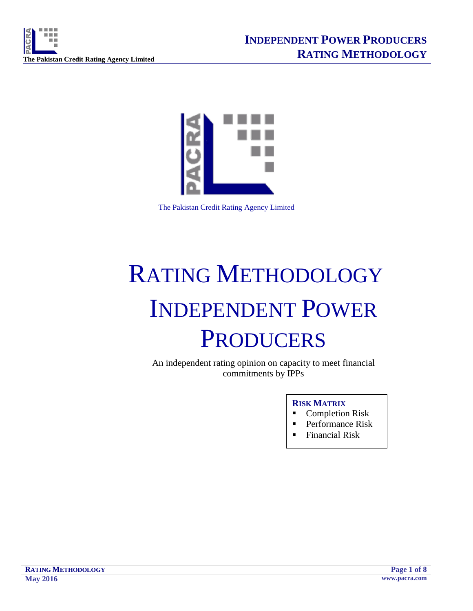



The Pakistan Credit Rating Agency Limited

# RATING METHODOLOGY INDEPENDENT POWER **PRODUCERS**

An independent rating opinion on capacity to meet financial commitments by IPPs

# **RISK MATRIX**

- Completion Risk
- **Performance Risk**
- Financial Risk

**RATING METHODOLOGY Page 1 of 8 May 2016 www.pacra.com**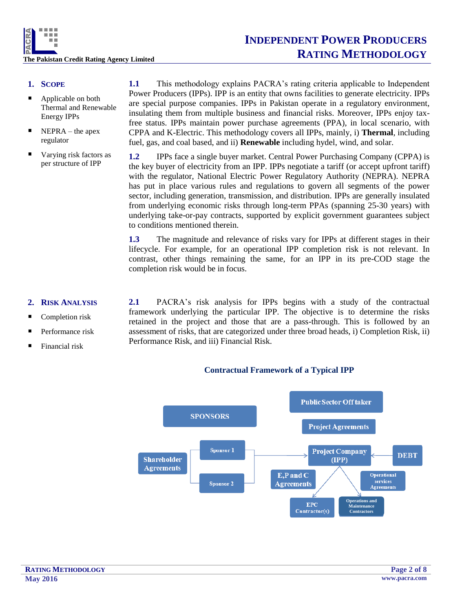

# **1. SCOPE**

- Applicable on both Thermal and Renewable Energy IPPs
- $\blacksquare$  NEPRA the apex regulator
- Varying risk factors as per structure of IPP

**1.1** This methodology explains PACRA's rating criteria applicable to Independent Power Producers (IPPs). IPP is an entity that owns facilities to generate electricity. IPPs are special purpose companies. IPPs in Pakistan operate in a regulatory environment, insulating them from multiple business and financial risks. Moreover, IPPs enjoy taxfree status. IPPs maintain power purchase agreements (PPA), in local scenario, with CPPA and K-Electric. This methodology covers all IPPs, mainly, i) **Thermal**, including fuel, gas, and coal based, and ii) **Renewable** including hydel, wind, and solar.

**1.2** IPPs face a single buyer market. Central Power Purchasing Company (CPPA) is the key buyer of electricity from an IPP. IPPs negotiate a tariff (or accept upfront tariff) with the regulator, National Electric Power Regulatory Authority (NEPRA). NEPRA has put in place various rules and regulations to govern all segments of the power sector, including generation, transmission, and distribution. IPPs are generally insulated from underlying economic risks through long-term PPAs (spanning 25-30 years) with underlying take-or-pay contracts, supported by explicit government guarantees subject to conditions mentioned therein.

**1.3** The magnitude and relevance of risks vary for IPPs at different stages in their lifecycle. For example, for an operational IPP completion risk is not relevant. In contrast, other things remaining the same, for an IPP in its pre-COD stage the completion risk would be in focus.

# **2. RISK ANALYSIS**

- Completion risk
- Performance risk
- Financial risk

**2.1** PACRA's risk analysis for IPPs begins with a study of the contractual framework underlying the particular IPP. The objective is to determine the risks retained in the project and those that are a pass-through. This is followed by an assessment of risks, that are categorized under three broad heads, i) Completion Risk, ii) Performance Risk, and iii) Financial Risk.

## **Contractual Framework of a Typical IPP**

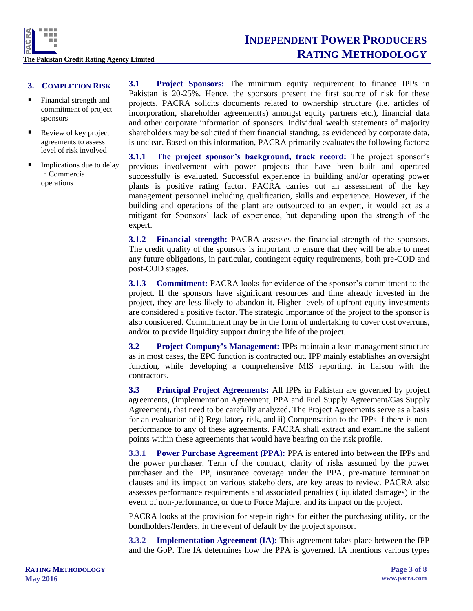

- **3. COMPLETION RISK**
- Financial strength and commitment of project sponsors
- Review of key project agreements to assess level of risk involved
- Implications due to delay in Commercial operations

**3.1 Project Sponsors:** The minimum equity requirement to finance IPPs in Pakistan is 20-25%. Hence, the sponsors present the first source of risk for these projects. PACRA solicits documents related to ownership structure (i.e. articles of incorporation, shareholder agreement(s) amongst equity partners etc.), financial data and other corporate information of sponsors. Individual wealth statements of majority shareholders may be solicited if their financial standing, as evidenced by corporate data, is unclear. Based on this information, PACRA primarily evaluates the following factors:

**3.1.1 The project sponsor's background, track record:** The project sponsor's previous involvement with power projects that have been built and operated successfully is evaluated. Successful experience in building and/or operating power plants is positive rating factor. PACRA carries out an assessment of the key management personnel including qualification, skills and experience. However, if the building and operations of the plant are outsourced to an expert, it would act as a mitigant for Sponsors' lack of experience, but depending upon the strength of the expert.

**3.1.2 Financial strength:** PACRA assesses the financial strength of the sponsors. The credit quality of the sponsors is important to ensure that they will be able to meet any future obligations, in particular, contingent equity requirements, both pre-COD and post-COD stages.

**3.1.3 Commitment:** PACRA looks for evidence of the sponsor's commitment to the project. If the sponsors have significant resources and time already invested in the project, they are less likely to abandon it. Higher levels of upfront equity investments are considered a positive factor. The strategic importance of the project to the sponsor is also considered. Commitment may be in the form of undertaking to cover cost overruns, and/or to provide liquidity support during the life of the project.

**3.2 Project Company's Management:** IPPs maintain a lean management structure as in most cases, the EPC function is contracted out. IPP mainly establishes an oversight function, while developing a comprehensive MIS reporting, in liaison with the contractors.

**3.3 Principal Project Agreements:** All IPPs in Pakistan are governed by project agreements, (Implementation Agreement, PPA and Fuel Supply Agreement/Gas Supply Agreement), that need to be carefully analyzed. The Project Agreements serve as a basis for an evaluation of i) Regulatory risk, and ii) Compensation to the IPPs if there is nonperformance to any of these agreements. PACRA shall extract and examine the salient points within these agreements that would have bearing on the risk profile.

**3.3.1 Power Purchase Agreement (PPA):** PPA is entered into between the IPPs and the power purchaser. Term of the contract, clarity of risks assumed by the power purchaser and the IPP, insurance coverage under the PPA, pre-mature termination clauses and its impact on various stakeholders, are key areas to review. PACRA also assesses performance requirements and associated penalties (liquidated damages) in the event of non-performance, or due to Force Majure, and its impact on the project.

PACRA looks at the provision for step-in rights for either the purchasing utility, or the bondholders/lenders, in the event of default by the project sponsor.

**3.3.2 Implementation Agreement (IA):** This agreement takes place between the IPP and the GoP. The IA determines how the PPA is governed. IA mentions various types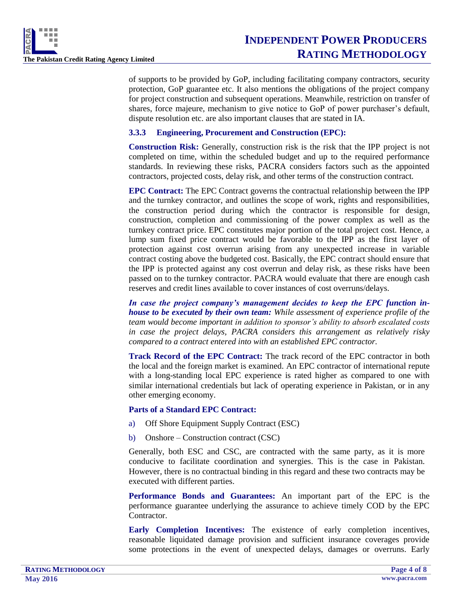

of supports to be provided by GoP, including facilitating company contractors, security protection, GoP guarantee etc. It also mentions the obligations of the project company for project construction and subsequent operations. Meanwhile, restriction on transfer of shares, force majeure, mechanism to give notice to GoP of power purchaser's default, dispute resolution etc. are also important clauses that are stated in IA.

# **3.3.3 Engineering, Procurement and Construction (EPC):**

**Construction Risk:** Generally, construction risk is the risk that the IPP project is not completed on time, within the scheduled budget and up to the required performance standards. In reviewing these risks, PACRA considers factors such as the appointed contractors, projected costs, delay risk, and other terms of the construction contract.

**EPC Contract:** The EPC Contract governs the contractual relationship between the IPP and the turnkey contractor, and outlines the scope of work, rights and responsibilities, the construction period during which the contractor is responsible for design, construction, completion and commissioning of the power complex as well as the turnkey contract price. EPC constitutes major portion of the total project cost. Hence, a lump sum fixed price contract would be favorable to the IPP as the first layer of protection against cost overrun arising from any unexpected increase in variable contract costing above the budgeted cost. Basically, the EPC contract should ensure that the IPP is protected against any cost overrun and delay risk, as these risks have been passed on to the turnkey contractor. PACRA would evaluate that there are enough cash reserves and credit lines available to cover instances of cost overruns/delays.

In case the project company's management decides to keep the EPC function in*house to be executed by their own team: While assessment of experience profile of the team would become important in addition to sponsor's ability to absorb escalated costs in case the project delays, PACRA considers this arrangement as relatively risky compared to a contract entered into with an established EPC contractor.*

**Track Record of the EPC Contract:** The track record of the EPC contractor in both the local and the foreign market is examined. An EPC contractor of international repute with a long-standing local EPC experience is rated higher as compared to one with similar international credentials but lack of operating experience in Pakistan, or in any other emerging economy.

## **Parts of a Standard EPC Contract:**

- a) Off Shore Equipment Supply Contract (ESC)
- b) Onshore Construction contract (CSC)

Generally, both ESC and CSC, are contracted with the same party, as it is more conducive to facilitate coordination and synergies. This is the case in Pakistan. However, there is no contractual binding in this regard and these two contracts may be executed with different parties.

**Performance Bonds and Guarantees:** An important part of the EPC is the performance guarantee underlying the assurance to achieve timely COD by the EPC Contractor.

**Early Completion Incentives:** The existence of early completion incentives, reasonable liquidated damage provision and sufficient insurance coverages provide some protections in the event of unexpected delays, damages or overruns. Early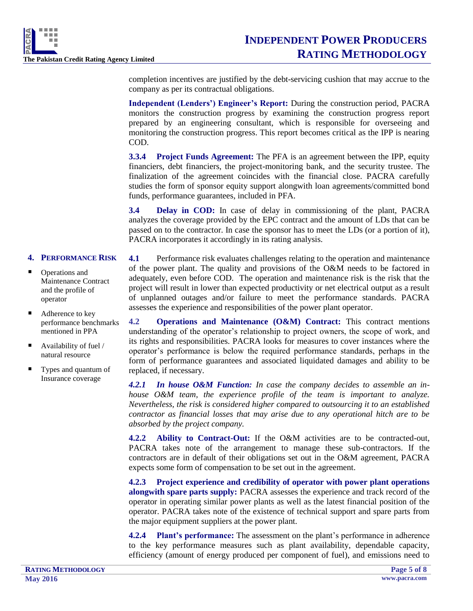

completion incentives are justified by the debt-servicing cushion that may accrue to the company as per its contractual obligations.

**Independent (Lenders') Engineer's Report:** During the construction period, PACRA monitors the construction progress by examining the construction progress report prepared by an engineering consultant, which is responsible for overseeing and monitoring the construction progress. This report becomes critical as the IPP is nearing COD.

**3.3.4 Project Funds Agreement:** The PFA is an agreement between the IPP, equity financiers, debt financiers, the project-monitoring bank, and the security trustee. The finalization of the agreement coincides with the financial close. PACRA carefully studies the form of sponsor equity support alongwith loan agreements/committed bond funds, performance guarantees, included in PFA.

**3.4 Delay in COD:** In case of delay in commissioning of the plant, PACRA analyzes the coverage provided by the EPC contract and the amount of LDs that can be passed on to the contractor. In case the sponsor has to meet the LDs (or a portion of it), PACRA incorporates it accordingly in its rating analysis.

# **4. PERFORMANCE RISK**

- Operations and Maintenance Contract and the profile of operator
- Adherence to key performance benchmarks mentioned in PPA
- $\blacksquare$  Availability of fuel / natural resource
- Types and quantum of Insurance coverage

**4.1** Performance risk evaluates challenges relating to the operation and maintenance of the power plant. The quality and provisions of the O&M needs to be factored in adequately, even before COD. The operation and maintenance risk is the risk that the project will result in lower than expected productivity or net electrical output as a result of unplanned outages and/or failure to meet the performance standards. PACRA assesses the experience and responsibilities of the power plant operator.

**4.2 Operations and Maintenance (O&M) Contract:** This contract mentions understanding of the operator's relationship to project owners, the scope of work, and its rights and responsibilities. PACRA looks for measures to cover instances where the operator's performance is below the required performance standards, perhaps in the form of performance guarantees and associated liquidated damages and ability to be replaced, if necessary.

*4.2.1 In house O&M Function: In case the company decides to assemble an inhouse O&M team, the experience profile of the team is important to analyze. Nevertheless, the risk is considered higher compared to outsourcing it to an established contractor as financial losses that may arise due to any operational hitch are to be absorbed by the project company.*

**4.2.2 Ability to Contract-Out:** If the O&M activities are to be contracted-out, PACRA takes note of the arrangement to manage these sub-contractors. If the contractors are in default of their obligations set out in the O&M agreement, PACRA expects some form of compensation to be set out in the agreement.

**4.2.3 Project experience and credibility of operator with power plant operations alongwith spare parts supply:** PACRA assesses the experience and track record of the operator in operating similar power plants as well as the latest financial position of the operator. PACRA takes note of the existence of technical support and spare parts from the major equipment suppliers at the power plant.

**4.2.4 Plant's performance:** The assessment on the plant's performance in adherence to the key performance measures such as plant availability, dependable capacity, efficiency (amount of energy produced per component of fuel), and emissions need to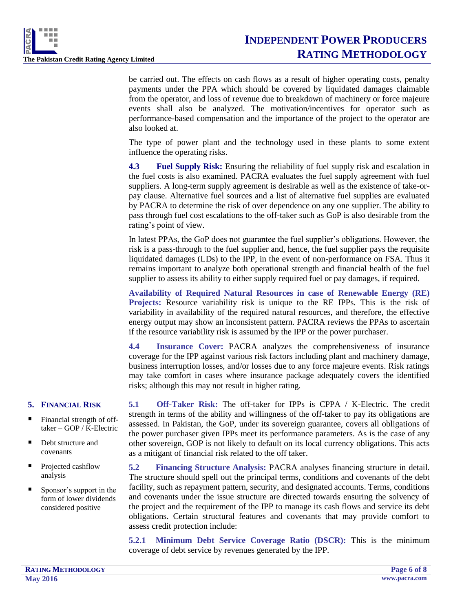

be carried out. The effects on cash flows as a result of higher operating costs, penalty payments under the PPA which should be covered by liquidated damages claimable from the operator, and loss of revenue due to breakdown of machinery or force majeure events shall also be analyzed. The motivation/incentives for operator such as performance-based compensation and the importance of the project to the operator are also looked at.

The type of power plant and the technology used in these plants to some extent influence the operating risks.

**4.3 Fuel Supply Risk:** Ensuring the reliability of fuel supply risk and escalation in the fuel costs is also examined. PACRA evaluates the fuel supply agreement with fuel suppliers. A long-term supply agreement is desirable as well as the existence of take-orpay clause. Alternative fuel sources and a list of alternative fuel supplies are evaluated by PACRA to determine the risk of over dependence on any one supplier. The ability to pass through fuel cost escalations to the off-taker such as GoP is also desirable from the rating's point of view.

In latest PPAs, the GoP does not guarantee the fuel supplier's obligations. However, the risk is a pass-through to the fuel supplier and, hence, the fuel supplier pays the requisite liquidated damages (LDs) to the IPP, in the event of non-performance on FSA. Thus it remains important to analyze both operational strength and financial health of the fuel supplier to assess its ability to either supply required fuel or pay damages, if required.

**Availability of Required Natural Resources in case of Renewable Energy (RE) Projects:** Resource variability risk is unique to the RE IPPs. This is the risk of variability in availability of the required natural resources, and therefore, the effective energy output may show an inconsistent pattern. PACRA reviews the PPAs to ascertain if the resource variability risk is assumed by the IPP or the power purchaser.

**4.4 Insurance Cover:** PACRA analyzes the comprehensiveness of insurance coverage for the IPP against various risk factors including plant and machinery damage, business interruption losses, and/or losses due to any force majeure events. Risk ratings may take comfort in cases where insurance package adequately covers the identified risks; although this may not result in higher rating.

# **5. FINANCIAL RISK**

- Financial strength of offtaker – GOP / K-Electric
- Debt structure and covenants
- Projected cashflow analysis
- Sponsor's support in the form of lower dividends considered positive

**5.1 Off-Taker Risk:** The off-taker for IPPs is CPPA / K-Electric. The credit strength in terms of the ability and willingness of the off-taker to pay its obligations are assessed. In Pakistan, the GoP, under its sovereign guarantee, covers all obligations of the power purchaser given IPPs meet its performance parameters. As is the case of any other sovereign, GOP is not likely to default on its local currency obligations. This acts as a mitigant of financial risk related to the off taker.

**5.2 Financing Structure Analysis:** PACRA analyses financing structure in detail. The structure should spell out the principal terms, conditions and covenants of the debt facility, such as repayment pattern, security, and designated accounts. Terms, conditions and covenants under the issue structure are directed towards ensuring the solvency of the project and the requirement of the IPP to manage its cash flows and service its debt obligations. Certain structural features and covenants that may provide comfort to assess credit protection include:

**5.2.1 Minimum Debt Service Coverage Ratio (DSCR):** This is the minimum coverage of debt service by revenues generated by the IPP.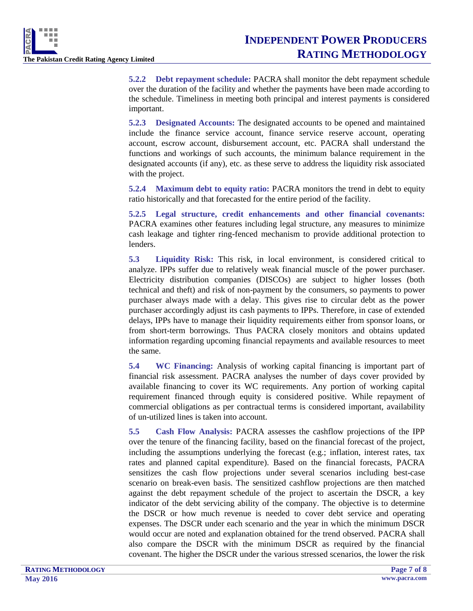

**5.2.2 Debt repayment schedule:** PACRA shall monitor the debt repayment schedule over the duration of the facility and whether the payments have been made according to the schedule. Timeliness in meeting both principal and interest payments is considered important.

**5.2.3 Designated Accounts:** The designated accounts to be opened and maintained include the finance service account, finance service reserve account, operating account, escrow account, disbursement account, etc. PACRA shall understand the functions and workings of such accounts, the minimum balance requirement in the designated accounts (if any), etc. as these serve to address the liquidity risk associated with the project.

**5.2.4 Maximum debt to equity ratio:** PACRA monitors the trend in debt to equity ratio historically and that forecasted for the entire period of the facility.

**5.2.5 Legal structure, credit enhancements and other financial covenants:**  PACRA examines other features including legal structure, any measures to minimize cash leakage and tighter ring-fenced mechanism to provide additional protection to lenders.

**5.3 Liquidity Risk:** This risk, in local environment, is considered critical to analyze. IPPs suffer due to relatively weak financial muscle of the power purchaser. Electricity distribution companies (DISCOs) are subject to higher losses (both technical and theft) and risk of non-payment by the consumers, so payments to power purchaser always made with a delay. This gives rise to circular debt as the power purchaser accordingly adjust its cash payments to IPPs. Therefore, in case of extended delays, IPPs have to manage their liquidity requirements either from sponsor loans, or from short-term borrowings. Thus PACRA closely monitors and obtains updated information regarding upcoming financial repayments and available resources to meet the same.

**5.4 WC Financing:** Analysis of working capital financing is important part of financial risk assessment. PACRA analyses the number of days cover provided by available financing to cover its WC requirements. Any portion of working capital requirement financed through equity is considered positive. While repayment of commercial obligations as per contractual terms is considered important, availability of un-utilized lines is taken into account.

**5.5 Cash Flow Analysis:** PACRA assesses the cashflow projections of the IPP over the tenure of the financing facility, based on the financial forecast of the project, including the assumptions underlying the forecast  $(e.g.,$  inflation, interest rates, tax rates and planned capital expenditure). Based on the financial forecasts, PACRA sensitizes the cash flow projections under several scenarios including best-case scenario on break-even basis. The sensitized cashflow projections are then matched against the debt repayment schedule of the project to ascertain the DSCR, a key indicator of the debt servicing ability of the company. The objective is to determine the DSCR or how much revenue is needed to cover debt service and operating expenses. The DSCR under each scenario and the year in which the minimum DSCR would occur are noted and explanation obtained for the trend observed. PACRA shall also compare the DSCR with the minimum DSCR as required by the financial covenant. The higher the DSCR under the various stressed scenarios, the lower the risk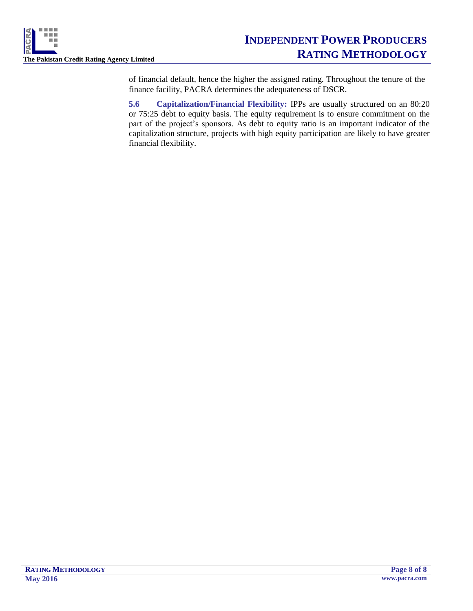

of financial default, hence the higher the assigned rating. Throughout the tenure of the finance facility, PACRA determines the adequateness of DSCR.

**5.6 Capitalization/Financial Flexibility:** IPPs are usually structured on an 80:20 or 75:25 debt to equity basis. The equity requirement is to ensure commitment on the part of the project's sponsors. As debt to equity ratio is an important indicator of the capitalization structure, projects with high equity participation are likely to have greater financial flexibility.